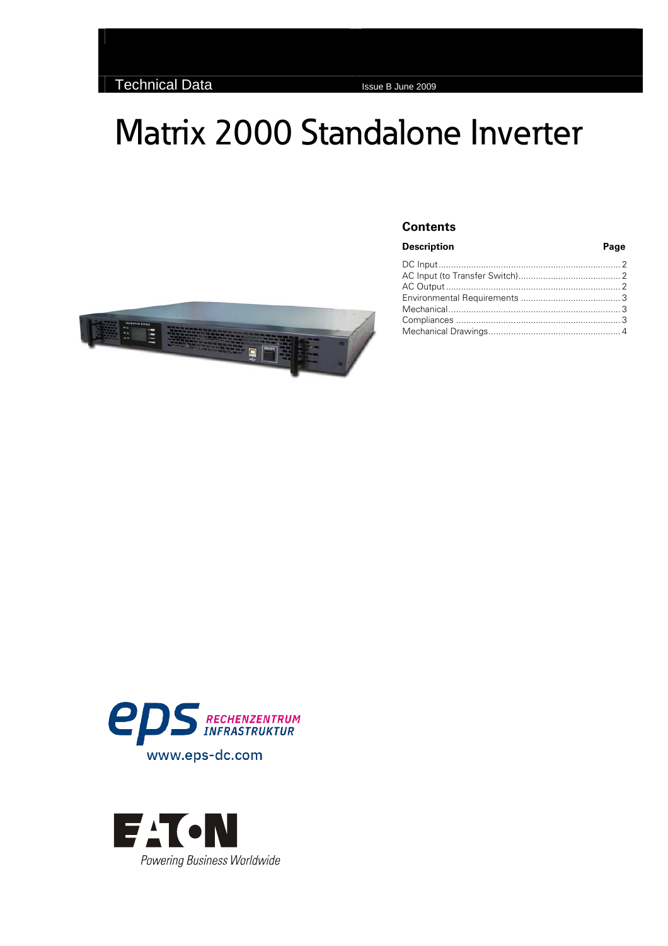# Matrix 2000 Standalone Inverter



#### **Contents**

#### **Description Page** [DC Input......................................................................... 2](#page-1-0) [AC Input \(to Transfer Switch\)......................................... 2](#page-1-0) [AC Output...................................................................... 2](#page-1-0) [Environmental Requirements](#page-2-0) ........................................ 3 [Mechanical..................................................................... 3](#page-2-0) Compliances [.................................................................. 3](#page-2-0) [Mechanical Drawings..................................................... 4](#page-3-0)



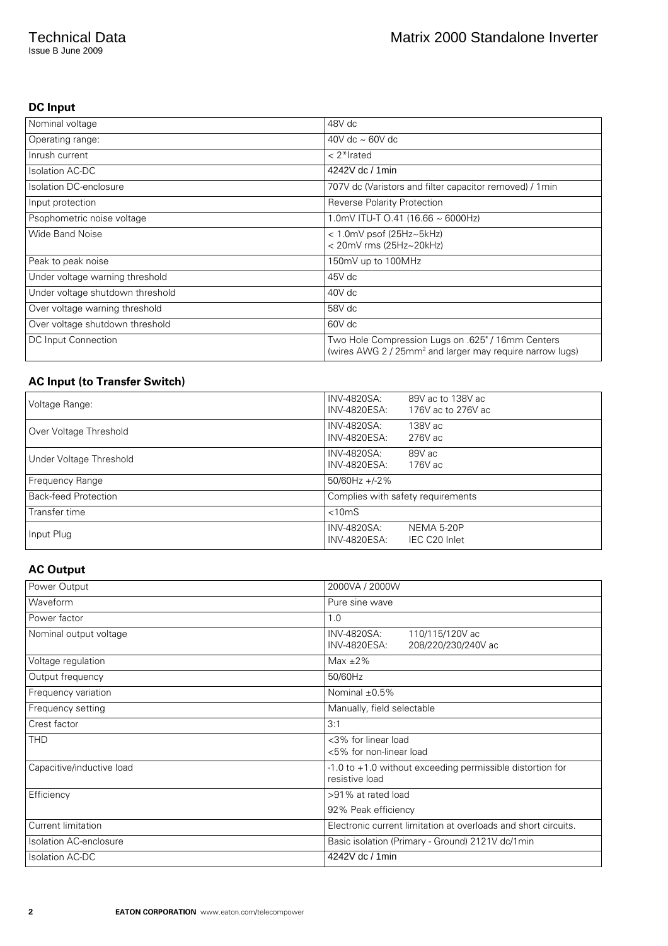<span id="page-1-0"></span>Issue B June 2009

## **DC Input**

| Nominal voltage                  | 48V dc                                                                                                                    |
|----------------------------------|---------------------------------------------------------------------------------------------------------------------------|
| Operating range:                 | 40V dc $\sim$ 60V dc                                                                                                      |
| Inrush current                   | $< 2$ *Irated                                                                                                             |
| <b>Isolation AC-DC</b>           | 4242V dc / 1min                                                                                                           |
| Isolation DC-enclosure           | 707V dc (Varistors and filter capacitor removed) / 1min                                                                   |
| Input protection                 | Reverse Polarity Protection                                                                                               |
| Psophometric noise voltage       | 1.0mV ITU-T 0.41 (16.66 ~ 6000Hz)                                                                                         |
| <b>Wide Band Noise</b>           | $<$ 1.0mV psof (25Hz $\sim$ 5kHz)<br>< 20mV rms (25Hz~20kHz)                                                              |
| Peak to peak noise               | 150mV up to 100MHz                                                                                                        |
| Under voltage warning threshold  | 45V dc                                                                                                                    |
| Under voltage shutdown threshold | 40V dc                                                                                                                    |
| Over voltage warning threshold   | 58V dc                                                                                                                    |
| Over voltage shutdown threshold  | 60V dc                                                                                                                    |
| DC Input Connection              | Two Hole Compression Lugs on .625" / 16mm Centers<br>(wires AWG 2 / 25mm <sup>2</sup> and larger may require narrow lugs) |

## **AC Input (to Transfer Switch)**

| Voltage Range:              | INV-4820SA:<br>89V ac to 138V ac<br>INV-4820ESA:<br>176V ac to 276V ac |
|-----------------------------|------------------------------------------------------------------------|
| Over Voltage Threshold      | INV-4820SA:<br>138V ac<br>INV-4820ESA:<br>276V ac                      |
| Under Voltage Threshold     | INV-4820SA:<br>89V ac<br>INV-4820ESA:<br>176V ac                       |
| Frequency Range             | $50/60$ Hz +/-2%                                                       |
| <b>Back-feed Protection</b> | Complies with safety requirements                                      |
| Transfer time               | $< 10 \text{mS}$                                                       |
| Input Plug                  | INV-4820SA:<br>NEMA 5-20P<br>INV-4820ESA:<br>IEC C20 Inlet             |

## **AC Output**

| Power Output                  | 2000VA / 2000W                                                                  |
|-------------------------------|---------------------------------------------------------------------------------|
| Waveform                      | Pure sine wave                                                                  |
| Power factor                  | 1.0                                                                             |
| Nominal output voltage        | INV-4820SA:<br>110/115/120V ac<br>INV-4820ESA:<br>208/220/230/240V ac           |
| Voltage regulation            | Max $\pm 2\%$                                                                   |
| Output frequency              | 50/60Hz                                                                         |
| Frequency variation           | Nominal $\pm 0.5\%$                                                             |
| Frequency setting             | Manually, field selectable                                                      |
| Crest factor                  | 3:1                                                                             |
| <b>THD</b>                    | <3% for linear load<br><5% for non-linear load                                  |
| Capacitive/inductive load     | $-1.0$ to $+1.0$ without exceeding permissible distortion for<br>resistive load |
| Efficiency                    | >91% at rated load                                                              |
|                               | 92% Peak efficiency                                                             |
| Current limitation            | Electronic current limitation at overloads and short circuits.                  |
| <b>Isolation AC-enclosure</b> | Basic isolation (Primary - Ground) 2121V dc/1min                                |
| <b>Isolation AC-DC</b>        | 4242V dc / 1min                                                                 |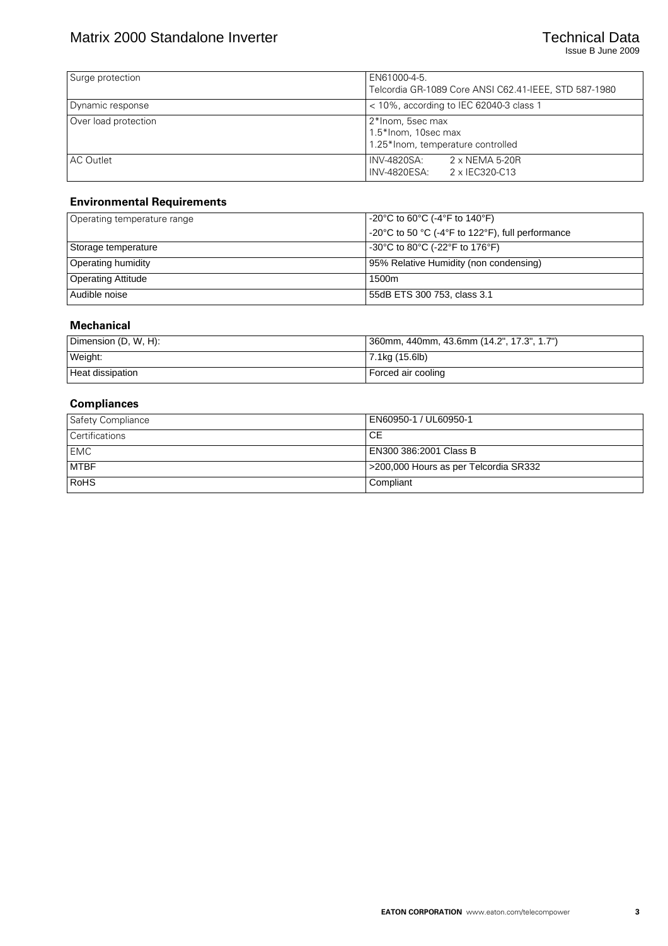<span id="page-2-0"></span>

| Surge protection     | EN61000-4-5.<br>Telcordia GR-1089 Core ANSI C62.41-IEEE, STD 587-1980        |
|----------------------|------------------------------------------------------------------------------|
| Dynamic response     | $<$ 10%, according to IEC 62040-3 class 1                                    |
| Over load protection | 2*Inom, 5sec max<br>1.5*Inom, 10sec max<br>1.25*Inom, temperature controlled |
| AC Outlet            | $2 \times$ NEMA 5-20R<br>INV-4820SA:<br>I INV-4820ESA:<br>2 x IEC320-C13     |

#### **Environmental Requirements**

| Operating temperature range | $-20^{\circ}$ C to 60 $^{\circ}$ C (-4 $^{\circ}$ F to 140 $^{\circ}$ F)  |
|-----------------------------|---------------------------------------------------------------------------|
|                             | -20°C to 50 °C (-4°F to 122°F), full performance                          |
| Storage temperature         | $-30^{\circ}$ C to 80 $^{\circ}$ C (-22 $^{\circ}$ F to 176 $^{\circ}$ F) |
| <b>Operating humidity</b>   | 95% Relative Humidity (non condensing)                                    |
| <b>Operating Attitude</b>   | 1500m                                                                     |
| Audible noise               | 55dB ETS 300 753, class 3.1                                               |

#### **Mechanical**

| Dimension (D, W, H): | 360mm, 440mm, 43.6mm (14.2", 17.3", 1.7") |
|----------------------|-------------------------------------------|
| Weight:              | $ 7.1$ kg (15.6lb)                        |
| Heat dissipation     | Forced air cooling                        |

### **Compliances**

| Safety Compliance     | EN60950-1 / UL60950-1                 |
|-----------------------|---------------------------------------|
| <b>Certifications</b> | СE                                    |
| <b>EMC</b>            | EN300 386:2001 Class B                |
| <b>MTBF</b>           | S200,000 Hours as per Telcordia SR332 |
| <b>RoHS</b>           | Compliant                             |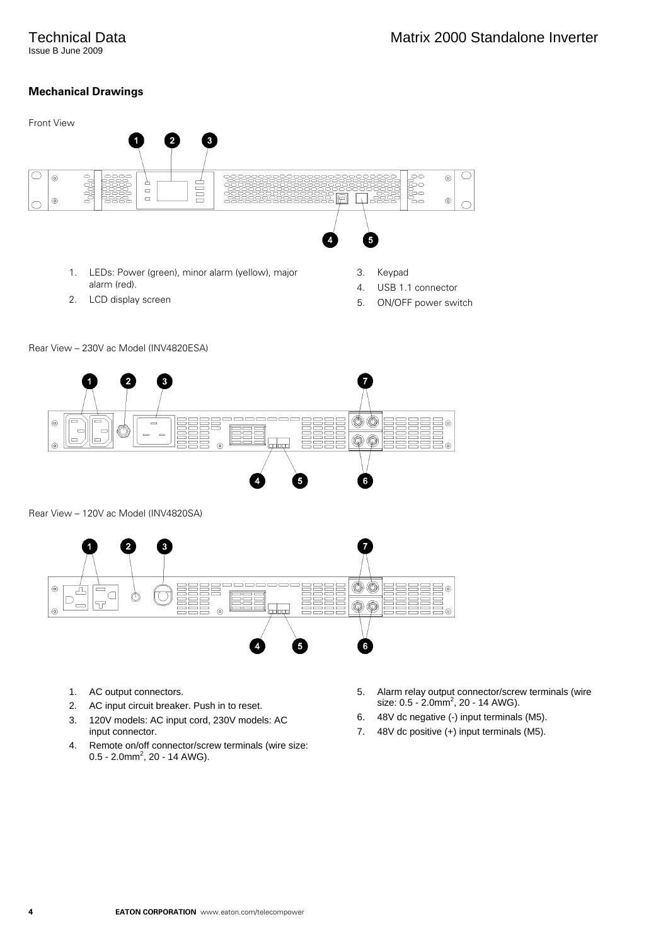## <span id="page-3-0"></span>Technical Data

Issue B June 2009

## **Mechanical Drawings**





Rear View – 120V ac Model (INV4820SA)



- 1. AC output connectors.
- 2. AC input circuit breaker. Push in to reset.
- 3. 120V models: AC input cord, 230V models: AC input connector.
- 4. Remote on/off connector/screw terminals (wire size:  $0.5 - 2.0$ mm<sup>2</sup>, 20 - 14 AWG).
- 5. Alarm relay output connector/screw terminals (wire size:  $0.5 - 2.0$ mm<sup>2</sup>, 20 - 14 AWG).
- 6. 48V dc negative (-) input terminals (M5).
- 7. 48V dc positive (+) input terminals (M5).